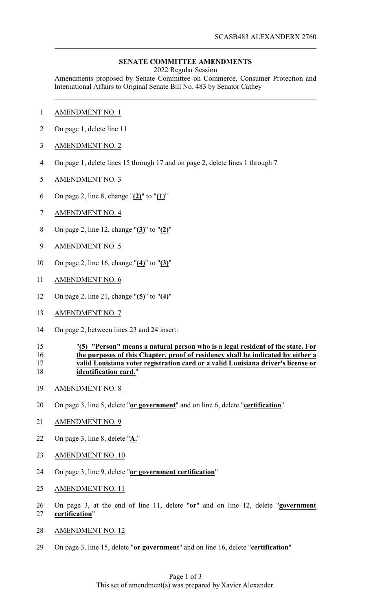## **SENATE COMMITTEE AMENDMENTS**

2022 Regular Session

Amendments proposed by Senate Committee on Commerce, Consumer Protection and International Affairs to Original Senate Bill No. 483 by Senator Cathey

- AMENDMENT NO. 1
- On page 1, delete line 11
- AMENDMENT NO. 2
- On page 1, delete lines 15 through 17 and on page 2, delete lines 1 through 7
- AMENDMENT NO. 3
- On page 2, line 8, change "**(2)**" to "**(1)**"
- AMENDMENT NO. 4
- On page 2, line 12, change "**(3)**" to "**(2)**"
- AMENDMENT NO. 5
- On page 2, line 16, change "**(4)**" to "**(3)**"
- AMENDMENT NO. 6
- On page 2, line 21, change "**(5)**" to "**(4)**"
- AMENDMENT NO. 7
- On page 2, between lines 23 and 24 insert:

## "**(5) "Person" means a natural person who is a legal resident of the state. For the purposes of this Chapter, proof of residency shall be indicated by either a valid Louisiana voter registration card or a valid Louisiana driver's license or identification card.**"

- AMENDMENT NO. 8
- On page 3, line 5, delete "**or government**" and on line 6, delete "**certification**"
- AMENDMENT NO. 9
- On page 3, line 8, delete "**A.**"
- AMENDMENT NO. 10
- On page 3, line 9, delete "**or government certification**"
- AMENDMENT NO. 11
- On page 3, at the end of line 11, delete "**or**" and on line 12, delete "**government certification**"
- AMENDMENT NO. 12
- On page 3, line 15, delete "**or government**" and on line 16, delete "**certification**"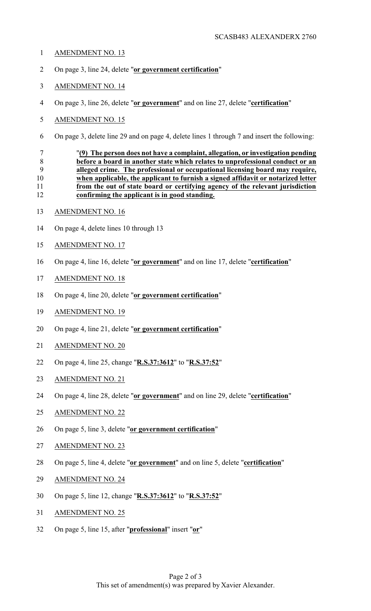- AMENDMENT NO. 13
- On page 3, line 24, delete "**or government certification**"
- AMENDMENT NO. 14
- On page 3, line 26, delete "**or government**" and on line 27, delete "**certification**"
- AMENDMENT NO. 15
- On page 3, delete line 29 and on page 4, delete lines 1 through 7 and insert the following:

 "**(9) The person does not have a complaint, allegation, or investigation pending before a board in another state which relates to unprofessional conduct or an alleged crime. The professional or occupational licensing board may require, when applicable, the applicant to furnish a signed affidavit or notarized letter from the out of state board or certifying agency of the relevant jurisdiction confirming the applicant is in good standing.**

- AMENDMENT NO. 16
- On page 4, delete lines 10 through 13
- AMENDMENT NO. 17
- On page 4, line 16, delete "**or government**" and on line 17, delete "**certification**"
- AMENDMENT NO. 18
- On page 4, line 20, delete "**or government certification**"
- AMENDMENT NO. 19
- On page 4, line 21, delete "**or government certification**"
- AMENDMENT NO. 20
- On page 4, line 25, change "**R.S.37:3612**" to "**R.S.37:52**"
- AMENDMENT NO. 21
- On page 4, line 28, delete "**or government**" and on line 29, delete "**certification**"
- AMENDMENT NO. 22
- On page 5, line 3, delete "**or government certification**"
- AMENDMENT NO. 23
- On page 5, line 4, delete "**or government**" and on line 5, delete "**certification**"
- AMENDMENT NO. 24
- On page 5, line 12, change "**R.S.37:3612**" to "**R.S.37:52**"
- AMENDMENT NO. 25
- On page 5, line 15, after "**professional**" insert "**or**"